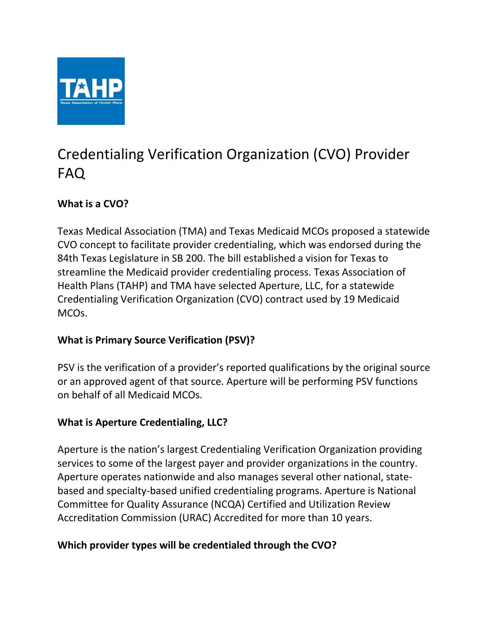

# Credentialing Verification Organization (CVO) Provider FAQ

# **What is a CVO?**

Texas Medical Association (TMA) and Texas Medicaid MCOs proposed a statewide CVO concept to facilitate provider credentialing, which was endorsed during the 84th Texas Legislature in SB 200. The bill established a vision for Texas to streamline the Medicaid provider credentialing process. Texas Association of Health Plans (TAHP) and TMA have selected Aperture, LLC, for a statewide Credentialing Verification Organization (CVO) contract used by 19 Medicaid MCOs.

## **What is Primary Source Verification (PSV)?**

PSV is the verification of a provider's reported qualifications by the original source or an approved agent of that source. Aperture will be performing PSV functions on behalf of all Medicaid MCOs.

## **What is Aperture Credentialing, LLC?**

Aperture is the nation's largest Credentialing Verification Organization providing services to some of the largest payer and provider organizations in the country. Aperture operates nationwide and also manages several other national, statebased and specialty-based unified credentialing programs. Aperture is National Committee for Quality Assurance (NCQA) Certified and Utilization Review Accreditation Commission (URAC) Accredited for more than 10 years.

## **Which provider types will be credentialed through the CVO?**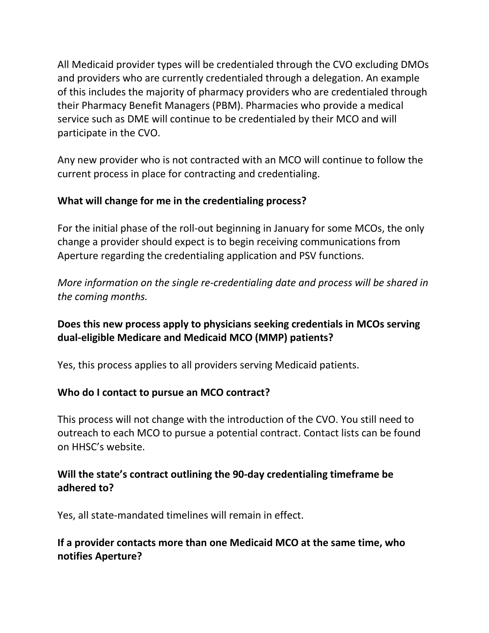All Medicaid provider types will be credentialed through the CVO excluding DMOs and providers who are currently credentialed through a delegation. An example of this includes the majority of pharmacy providers who are credentialed through their Pharmacy Benefit Managers (PBM). Pharmacies who provide a medical service such as DME will continue to be credentialed by their MCO and will participate in the CVO.

Any new provider who is not contracted with an MCO will continue to follow the current process in place for contracting and credentialing.

## **What will change for me in the credentialing process?**

For the initial phase of the roll-out beginning in January for some MCOs, the only change a provider should expect is to begin receiving communications from Aperture regarding the credentialing application and PSV functions.

*More information on the single re-credentialing date and process will be shared in the coming months.*

## **Does this new process apply to physicians seeking credentials in MCOs serving dual-eligible Medicare and Medicaid MCO (MMP) patients?**

Yes, this process applies to all providers serving Medicaid patients.

## **Who do I contact to pursue an MCO contract?**

This process will not change with the introduction of the CVO. You still need to outreach to each MCO to pursue a potential contract. Contact lists can be found on HHSC's website.

## **Will the state's contract outlining the 90-day credentialing timeframe be adhered to?**

Yes, all state-mandated timelines will remain in effect.

## **If a provider contacts more than one Medicaid MCO at the same time, who notifies Aperture?**